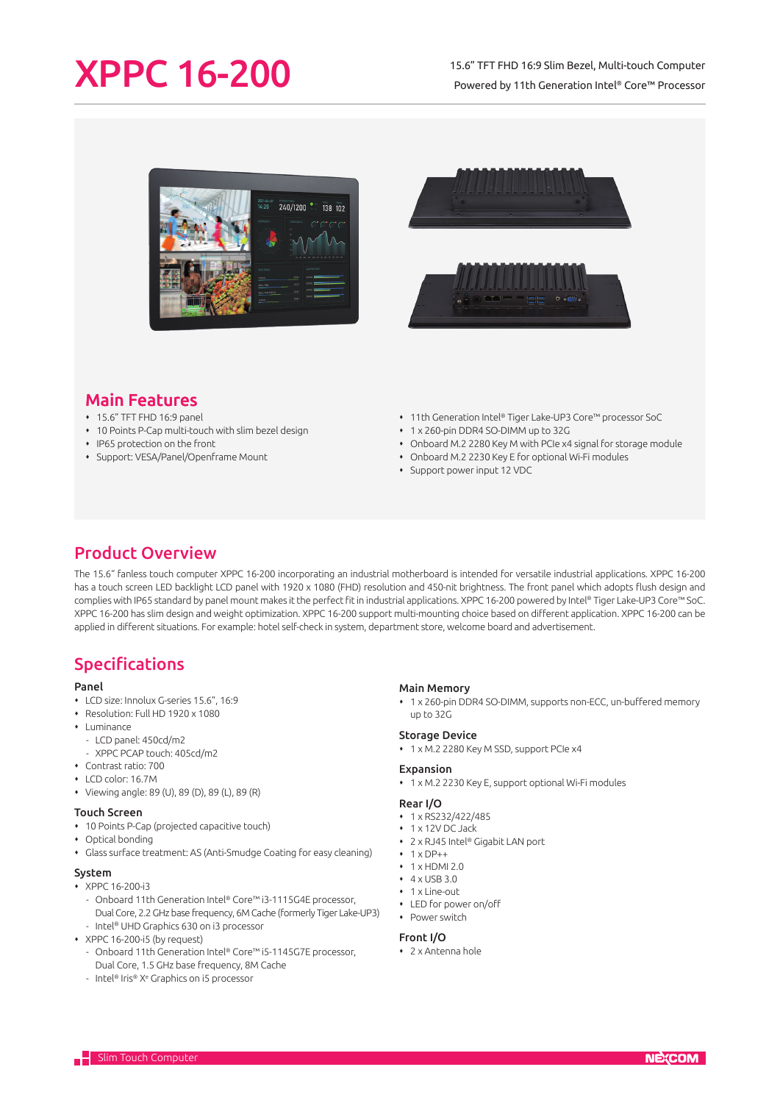# XPPC 16-200

### 15.6" TFT FHD 16:9 Slim Bezel, Multi-touch Computer Powered by 11th Generation Intel® Core™ Processor





# Main Features

- 15.6" TFT FHD 16:9 panel
- 10 Points P-Cap multi-touch with slim bezel design
- IP65 protection on the front
- Support: VESA/Panel/Openframe Mount
- 11th Generation Intel® Tiger Lake-UP3 Core™ processor SoC
- 1 x 260-pin DDR4 SO-DIMM up to 32G
- Onboard M.2 2280 Key M with PCIe x4 signal for storage module
- Onboard M.2 2230 Key E for optional Wi-Fi modules
- Support power input 12 VDC

# Product Overview

The 15.6" fanless touch computer XPPC 16-200 incorporating an industrial motherboard is intended for versatile industrial applications. XPPC 16-200 has a touch screen LED backlight LCD panel with 1920 x 1080 (FHD) resolution and 450-nit brightness. The front panel which adopts flush design and complies with IP65 standard by panel mount makes it the perfect fit in industrial applications. XPPC 16-200 powered by Intel® Tiger Lake-UP3 Core™ SoC. XPPC 16-200 has slim design and weight optimization. XPPC 16-200 support multi-mounting choice based on different application. XPPC 16-200 can be applied in different situations. For example: hotel self-check in system, department store, welcome board and advertisement.

# Specifications

#### Panel

- LCD size: Innolux G-series 15.6", 16:9
- Resolution: Full HD 1920 x 1080
- $\cdot$  Luminance
	- LCD panel: 450cd/m2
	- XPPC PCAP touch: 405cd/m2
- Contrast ratio: 700
- LCD color: 16.7M
- Viewing angle: 89 (U), 89 (D), 89 (L), 89 (R)

#### Touch Screen

- 10 Points P-Cap (projected capacitive touch)
- Optical bonding
- Glass surface treatment: AS (Anti-Smudge Coating for easy cleaning)

#### System

- $\overline{\phantom{0}}$  XPPC 16-200-i3
- Onboard 11th Generation Intel® Core™ i3-1115G4E processor, Dual Core, 2.2 GHz base frequency, 6M Cache (formerly Tiger Lake-UP3)
- Intel® UHD Graphics 630 on i3 processor
- XPPC 16-200-i5 (by request)
	- Onboard 11th Generation Intel® Core™ i5-1145G7E processor, Dual Core, 1.5 GHz base frequency, 8M Cache
	- Intel® Iris® Xº Graphics on i5 processor

#### Main Memory

 1 x 260-pin DDR4 SO-DIMM, supports non-ECC, un-buffered memory up to 32G

#### Storage Device

1 x M.2 2280 Key M SSD, support PCIe x4

#### Expansion

1 x M.2 2230 Key E, support optional Wi-Fi modules

#### Rear I/O

- $\cdot$  1 x RS232/422/485
- $+1$  x 12V DC Jack
- 2 x RJ45 Intel® Gigabit LAN port
- $+ 1 \times DP++$
- $+ 1$  x HDMI 2.0
- $\cdot$  4 x USB 3.0
- $+ 1$  x Line-out
- LED for power on/off • Power switch

- Front I/O
- 2 x Antenna hole